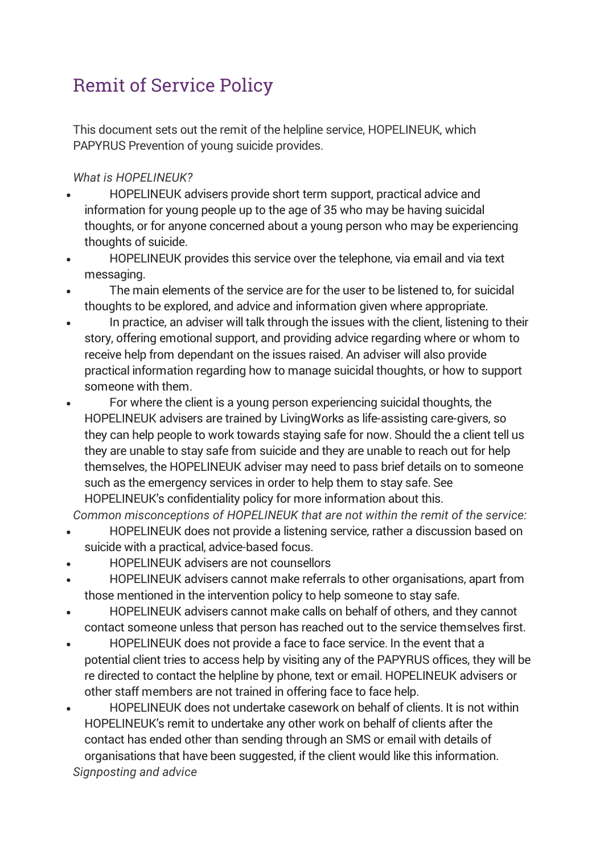## Remit of Service Policy

This document sets out the remit of the helpline service, HOPELINEUK, which PAPYRUS Prevention of young suicide provides.

## *What is HOPELINEUK?*

- HOPELINEUK advisers provide short term support, practical advice and information for young people up to the age of 35 who may be having suicidal thoughts, or for anyone concerned about a young person who may be experiencing thoughts of suicide.
- HOPELINEUK provides this service over the telephone, via email and via text messaging.
- The main elements of the service are for the user to be listened to, for suicidal thoughts to be explored, and advice and information given where appropriate.
- In practice, an adviser will talk through the issues with the client, listening to their story, offering emotional support, and providing advice regarding where or whom to receive help from dependant on the issues raised. An adviser will also provide practical information regarding how to manage suicidal thoughts, or how to support someone with them.
- For where the client is a young person experiencing suicidal thoughts, the HOPELINEUK advisers are trained by LivingWorks as life-assisting care-givers, so they can help people to work towards staying safe for now. Should the a client tell us they are unable to stay safe from suicide and they are unable to reach out for help themselves, the HOPELINEUK adviser may need to pass brief details on to someone such as the emergency services in order to help them to stay safe. See HOPELINEUK's confidentiality policy for more information about this.

*Common misconceptions of HOPELINEUK that are not within the remit of the service:*

- HOPELINEUK does not provide a listening service, rather a discussion based on suicide with a practical, advice-based focus.
- HOPELINEUK advisers are not counsellors
- HOPELINEUK advisers cannot make referrals to other organisations, apart from those mentioned in the intervention policy to help someone to stay safe.
- HOPELINEUK advisers cannot make calls on behalf of others, and they cannot contact someone unless that person has reached out to the service themselves first.
- HOPELINEUK does not provide a face to face service. In the event that a potential client tries to access help by visiting any of the PAPYRUS offices, they will be re directed to contact the helpline by phone, text or email. HOPELINEUK advisers or other staff members are not trained in offering face to face help.
- HOPELINEUK does not undertake casework on behalf of clients. It is not within HOPELINEUK's remit to undertake any other work on behalf of clients after the contact has ended other than sending through an SMS or email with details of organisations that have been suggested, if the client would like this information. *Signposting and advice*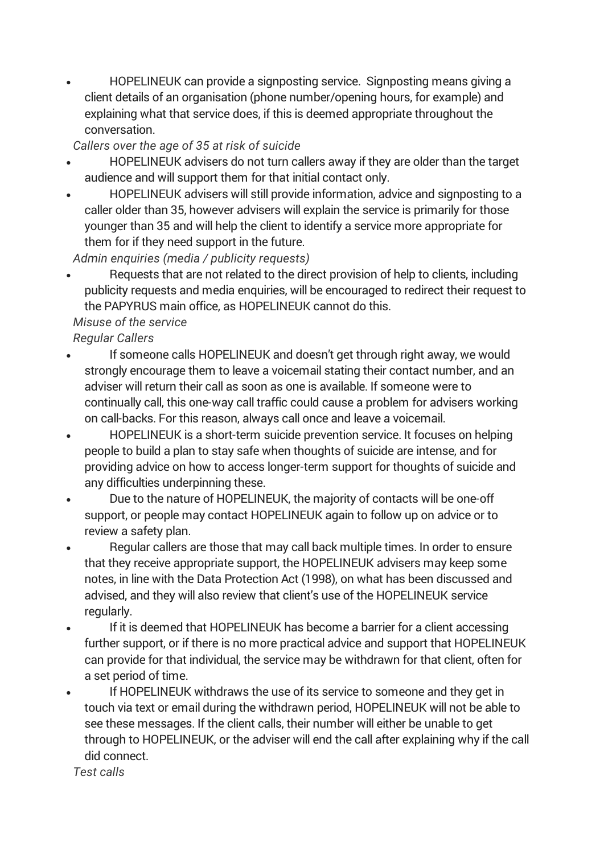HOPELINEUK can provide a signposting service. Signposting means giving a client details of an organisation (phone number/opening hours, for example) and explaining what that service does, if this is deemed appropriate throughout the conversation.

*Callers over the age of 35 at risk of suicide*

- HOPELINEUK advisers do not turn callers away if they are older than the target audience and will support them for that initial contact only.
- HOPELINEUK advisers will still provide information, advice and signposting to a caller older than 35, however advisers will explain the service is primarily for those younger than 35 and will help the client to identify a service more appropriate for them for if they need support in the future.

*Admin enquiries (media / publicity requests)*

 Requests that are not related to the direct provision of help to clients, including publicity requests and media enquiries, will be encouraged to redirect their request to the PAPYRUS main office, as HOPELINEUK cannot do this.

## *Misuse of the service*

*Regular Callers*

- If someone calls HOPELINEUK and doesn't get through right away, we would strongly encourage them to leave a voicemail stating their contact number, and an adviser will return their call as soon as one is available. If someone were to continually call, this one-way call traffic could cause a problem for advisers working on call-backs. For this reason, always call once and leave a voicemail.
- HOPELINEUK is a short-term suicide prevention service. It focuses on helping people to build a plan to stay safe when thoughts of suicide are intense, and for providing advice on how to access longer-term support for thoughts of suicide and any difficulties underpinning these.
- Due to the nature of HOPELINEUK, the majority of contacts will be one-off support, or people may contact HOPELINEUK again to follow up on advice or to review a safety plan.
- Regular callers are those that may call back multiple times. In order to ensure that they receive appropriate support, the HOPELINEUK advisers may keep some notes, in line with the Data Protection Act (1998), on what has been discussed and advised, and they will also review that client's use of the HOPELINEUK service regularly.
- If it is deemed that HOPELINEUK has become a barrier for a client accessing further support, or if there is no more practical advice and support that HOPELINEUK can provide for that individual, the service may be withdrawn for that client, often for a set period of time.
- If HOPELINEUK withdraws the use of its service to someone and they get in touch via text or email during the withdrawn period, HOPELINEUK will not be able to see these messages. If the client calls, their number will either be unable to get through to HOPELINEUK, or the adviser will end the call after explaining why if the call did connect.

*Test calls*